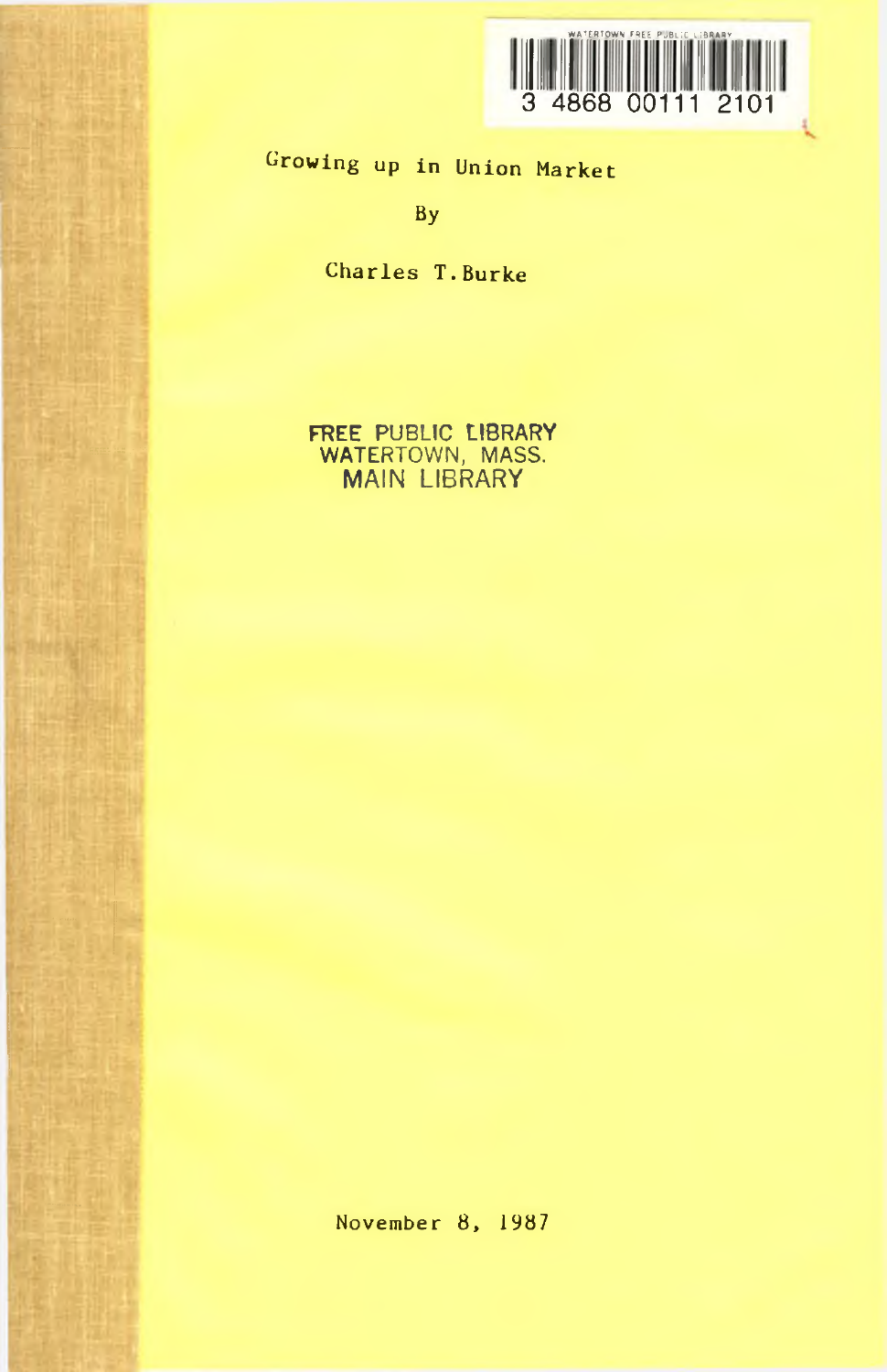

Growing up in Union Market

By

Charles T.Burke

FREE PUBLIC LIBRARY WATERTOWN, MASS. MAIN LIBRARY

November 8, 1987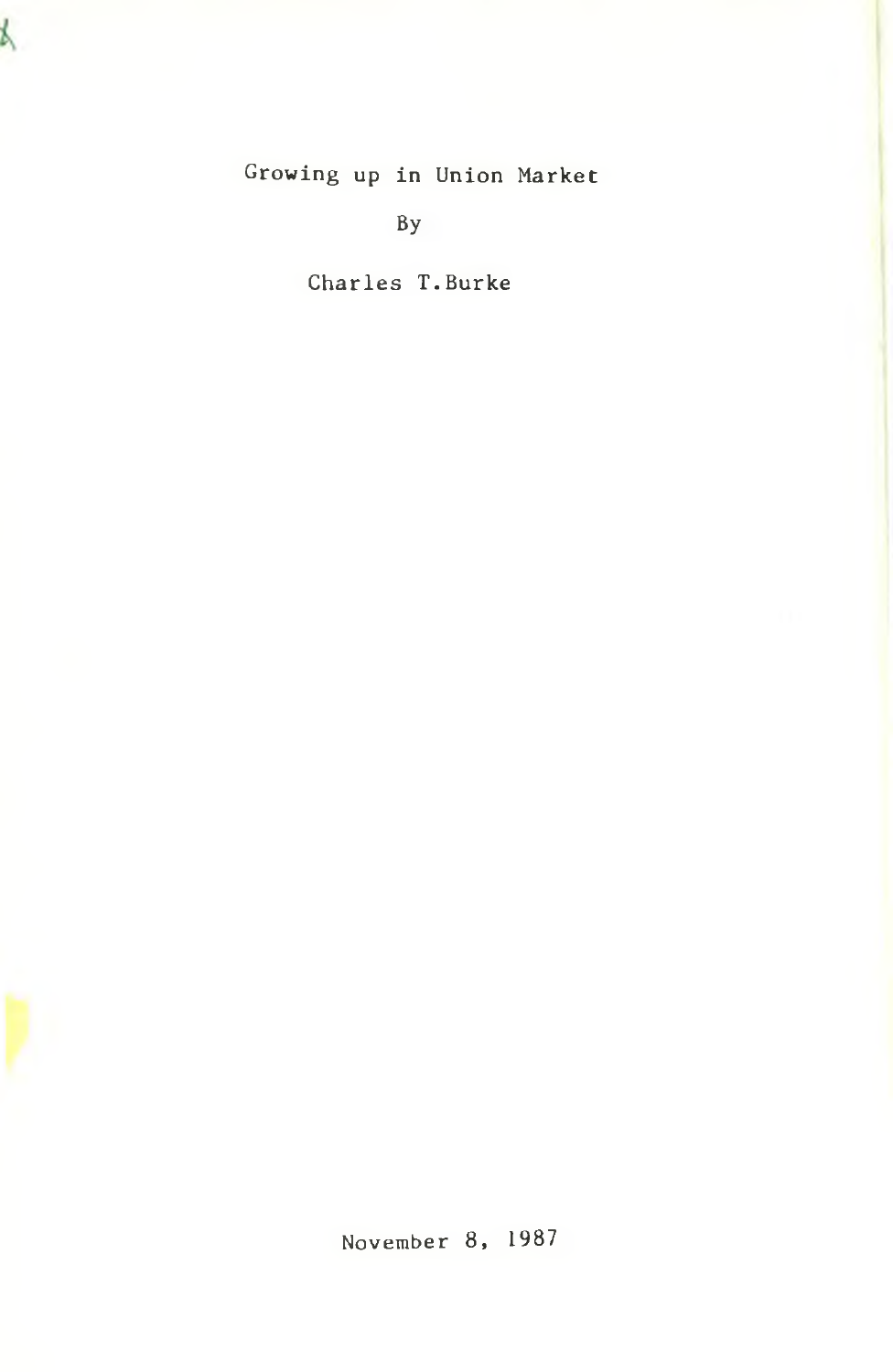b,

## Growing up in Union Market

By

Charles T.Burke

November 8, 1987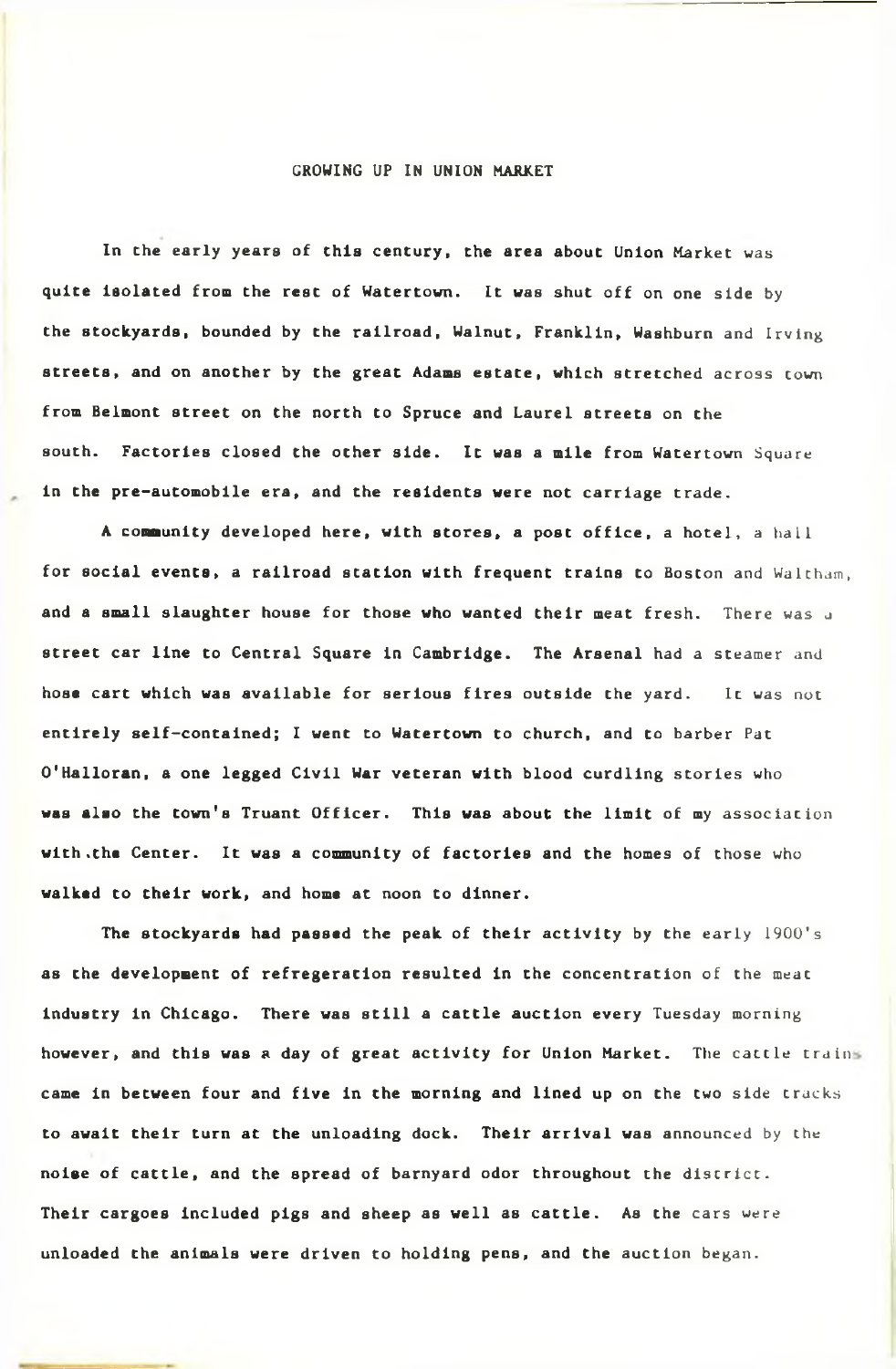## GROWING UP IN UNION MARKET

In the early years of this century, the area about Union Market was quite isolated from the rest of Watertown. It was shut off on one side by the stockyards, bounded by the railroad, Walnut, Franklin, Washburn and Irving streets, and on another by the great Adams estate, which stretched across town from Belmont street on the north to Spruce and Laurel streets on the south. Factories closed the other side. It was a mile from Watertown Square in the pre-automobile era, and the residents were not carriage trade.

A community developed here, with stores, a post office, a hotel, a hall for social events, a railroad station with frequent trains to Boston and Waltham, and a small slaughter house for those who wanted their meat fresh. There was a street car line to Central Square in Cambridge. The Arsenal had a steamer and hose cart which was available for serious fires outside the yard. It was not entirely self-contained; I went to Watertown to church, and to barber Pat O'Halloran, a one legged Civil War veteran with blood curdling stories who was also the town's Truant Officer. This was about the limit of my association with .the Center. It was a community of factories and the homes of those who walked to their work, and home at noon to dinner.

The stockyards had passed the peak of their activity by the early 1900's as the development of refregeration resulted in the concentration of the meat Industry in Chicago. There was still a cattle auction every Tuesday morning however, and this was a day of great activity for Union Market. The cattle trains came in between four and five in the morning and lined up on the two side tracks to await their turn at the unloading dock. Their arrival was announced by the noise of cattle, and the spread of barnyard odor throughout the district. Their cargoes included pigs and sheep as well as cattle. As the cars were unloaded the animals were driven to holding pens, and the auction began.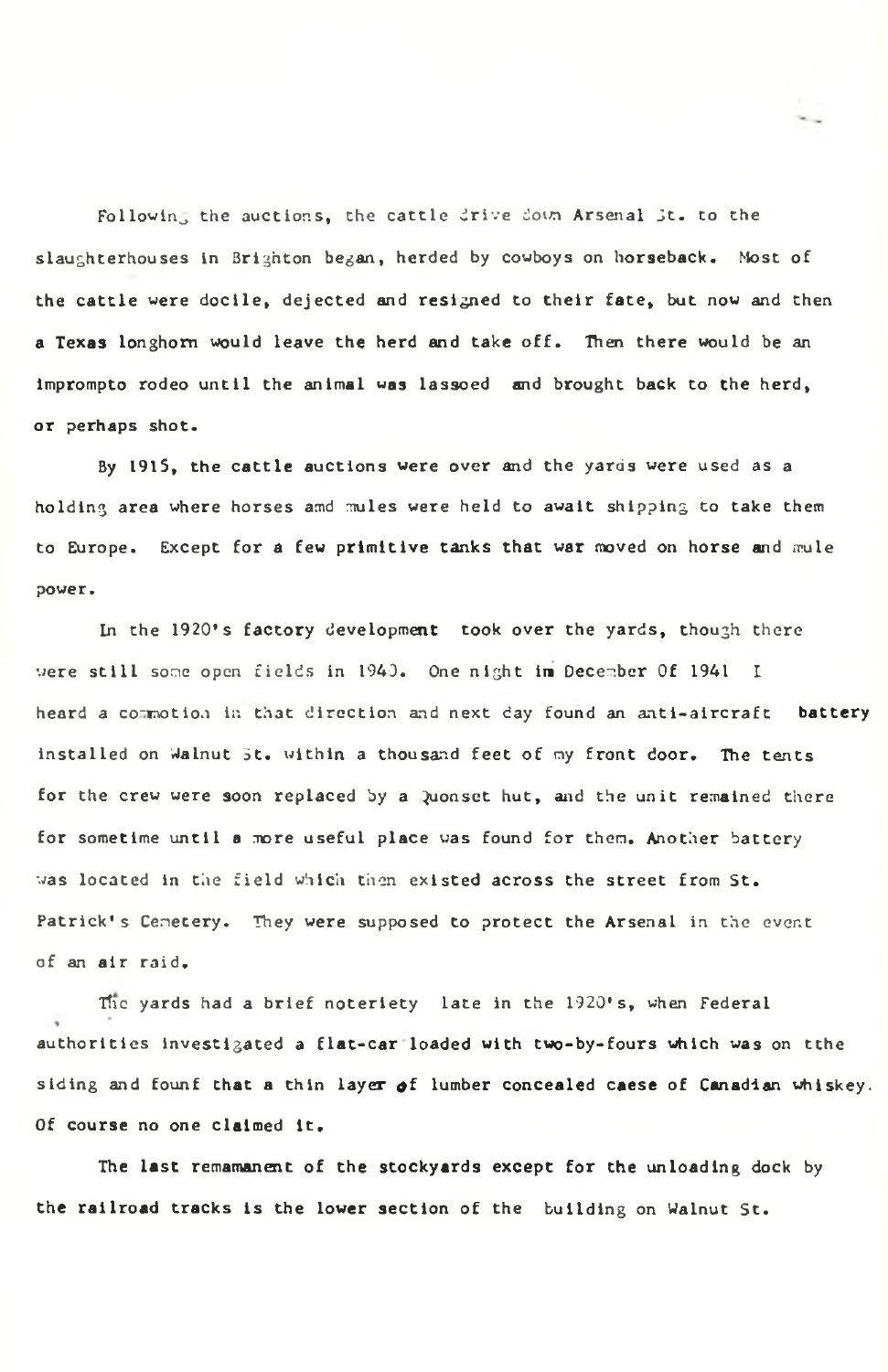Followin, the auctions, the cattle drive down Arsenal St. to the slaughterhouses in Brighton began, herded by cowboys on horseback. Most of the cattle were docile, dejected and resigned to their fate, but now and then a Texas longhorn would leave the herd and take off. Then there would be an imprompto rodeo until the animal was lassoed and brought back to the herd, or perhaps shot.

By 1915, the cattle auctions were over and the yards were used as a holding area where horses amd mules were held to await shipping to take them to Europe. Except for a few primitive tanks that war moved on horse and mule power.

In the 1920's factory development took over the yards, though there were still some open fields in 1940. One night im December Of 1941 I heard a commotion in that direction and next day found an anti-aircraft battery installed on Walnut 5t. within a thousand feet of my front door. The tents for the crew were soon replaced by a Quonset hut, and the unit remained there for sometime until a more useful place was found for them. Another battery was located in the field which then existed across the street from St. Patrick's Cemetery. They were supposed to protect the Arsenal in the event of an air raid.

Tfic yards had a brief noteriety late in the 1920's, when Federal authorities investigated a flat-car loaded with two-by-fours which was on tthe siding and founf that a thin layer of lumber concealed caese of Canadian whiskey. Of course no one claimed it.

The last remamanent of the stockyards except for the unloading dock by the railroad tracks is the lower section of the building on Walnut St.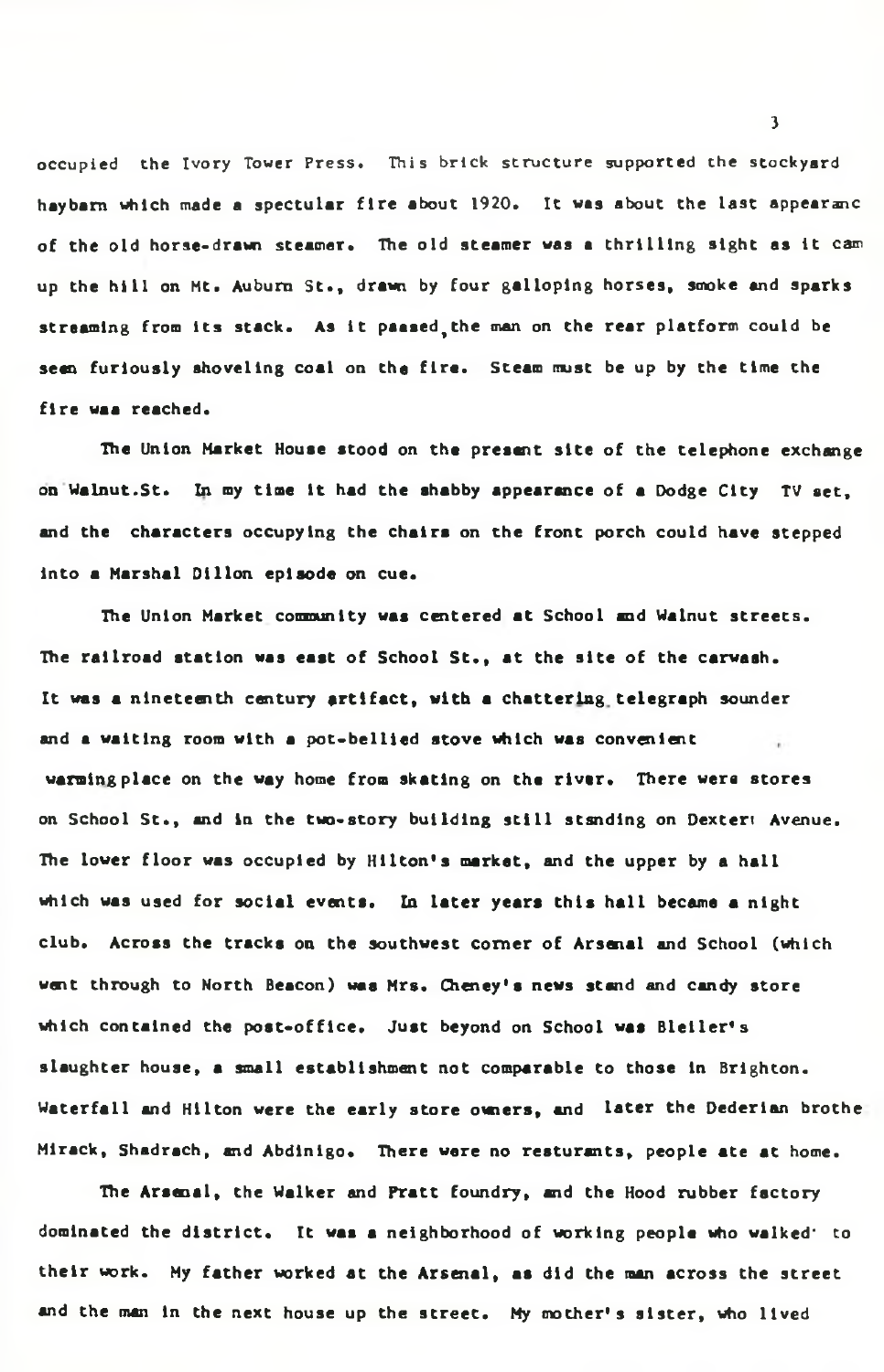occupied the Ivory Tower Press. This brick structure supported the stockyard haybam which made a spectular fire about 1920. It was about the last appearanc of the old horse-drawn steamer. The old steamer was a thrilling sight as it cam up the hill on Mt. Auburn St., drawn by four galloping horses, smoke and sparks streaming from its stack. As it paased,the man on the rear platform could be seen furiously shoveling coal on the fire. Steam must be up by the time the fire waa reached.

The Union Market House stood on the present site of the telephone exchange on Walnut.St. In my time it had the shabby appearance of a Dodge City TV set, and the characters occupying the chairs on the front porch could have stepped into a Marshal Dillon episode on cue.

The Union Market community was centered at School and Walnut streets. The railroad station was east of School St., at the site of the carwash. It was a nineteenth century artifact, with a chattering telegraph sounder and a waiting room with a pot-bellied stove which was convenient warming place on the way home from skating on the river. There were stores on School St., and in the two-story building still standing on Dextert Avenue. The lower floor was occupied by Hilton's market, and the upper by a hall which was used for social events. In later years this hall became a night club. Across the tracks on the southwest corner of Arsenal and School (which went through to North Beacon) waa Mrs. Cheney's news stand and candy store which contained the post-office. Just beyond on School was Bleller's slaughter house, a small establishment not comparable to those in Brighton. Waterfall and Hilton were the early store owners, and later the Dederian brothe Mlrack, Shadrach, and Abdinlgo. There were no reaturants, people ate at home.

The Arsenal, the Walker and Pratt foundry, and the Hood rubber factory dominated the district. It was a neighborhood of working people who walked' to their work. My father worked at the Arsenal, as did the man across the street and the man in the next house up the street. My mother's sister, who lived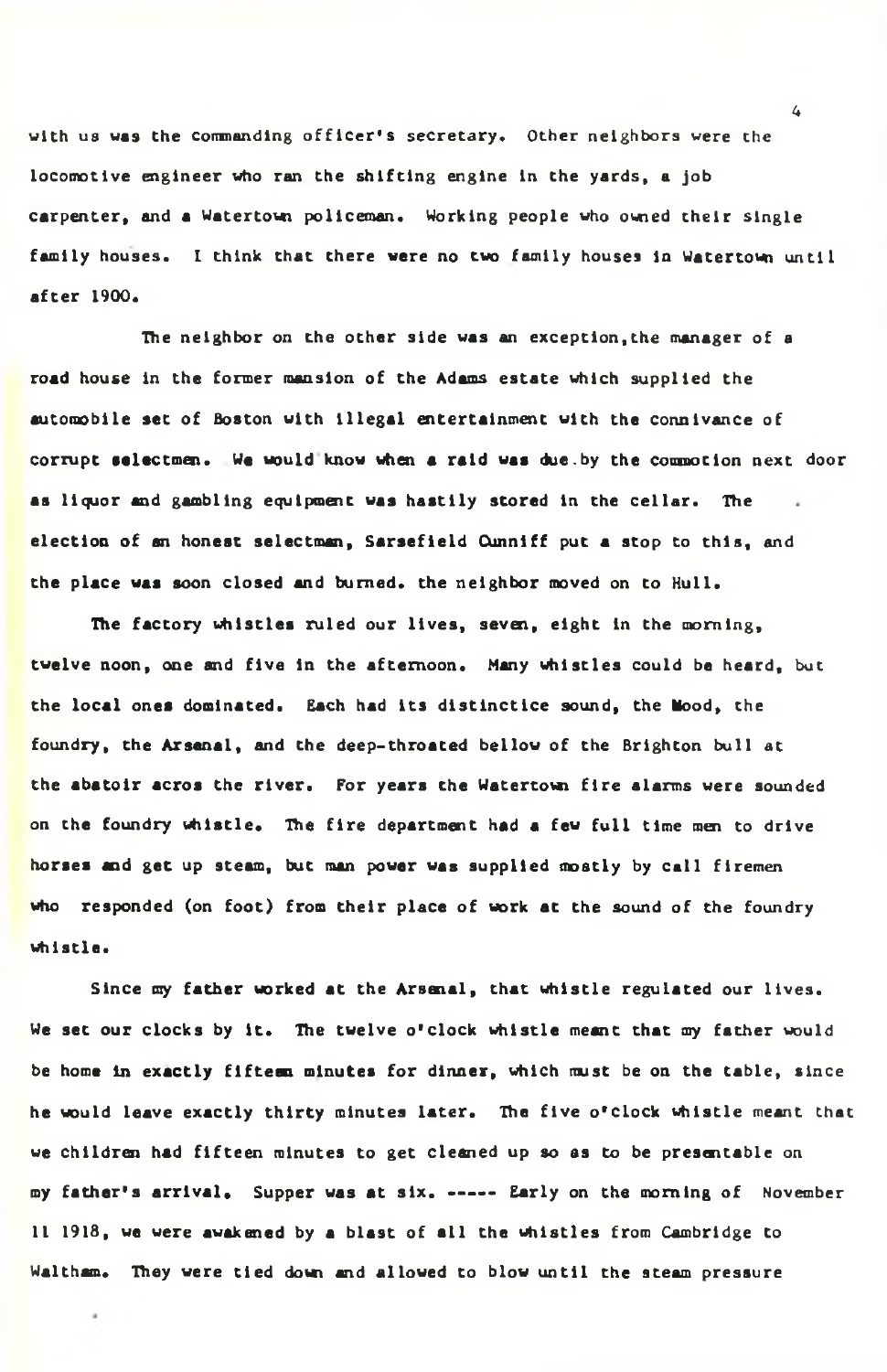with us was the commanding officer's secretary. Other neighbors were the locomotive engineer who ran the shifting engine in the yards, a job carpenter, and a Watertown policeman. Working people who owned their single family houses. I think that there were no two family houses in Watertown until after 1900.

The neighbor on the other side was an exception,the manager of a road house in the former mansion of the Adams estate which supplied the automobile set of Boston with illegal entertainment with the connivance of corrupt selectmen. We would know when a raid was due.by the commotion next door as liquor and gambling equipment was hastily stored in the cellar. The election of an honeat selectman, Sarsefield Cunniff put a stop to this, and the place was soon closed and burned, the neighbor moved on to Hull.

The factory whistles ruled our lives, seven, eight in the morning, twelve noon, one and five in the afternoon. Many whistles could be heard, but the local ones dominated. Each had its distlnctlce sound, the Mood, the foundry, the Arsenal, and the deep-throated bellow of the Brighton bull at the abatolr acros the river. For years the Watertow fire alarms were sounded on the foundry whistle. The fire department had a few full time men to drive horses and get up steam, but man power was supplied mostly by call firemen who responded (on foot) from their place of work at the sound of the foundry whistle.

Since my father worked at the Arsenal, that whistle regulated our lives. We set our clocks by it. The twelve o'clock whistle meant that my father would be home In exactly fifteen minutes for dinner, which must be on the table, since he would leave exactly thirty minutes later. The five o'clock whistle meant that we children had fifteen minutes to get cleaned up so as to be presentable on my father's arrival. Supper was at six. ----- Early on the morning of November 11 1918, we were awakened by a blast of all the whistles from Cambridge to Waltham. They were tied down and allowed to blow until the steam pressure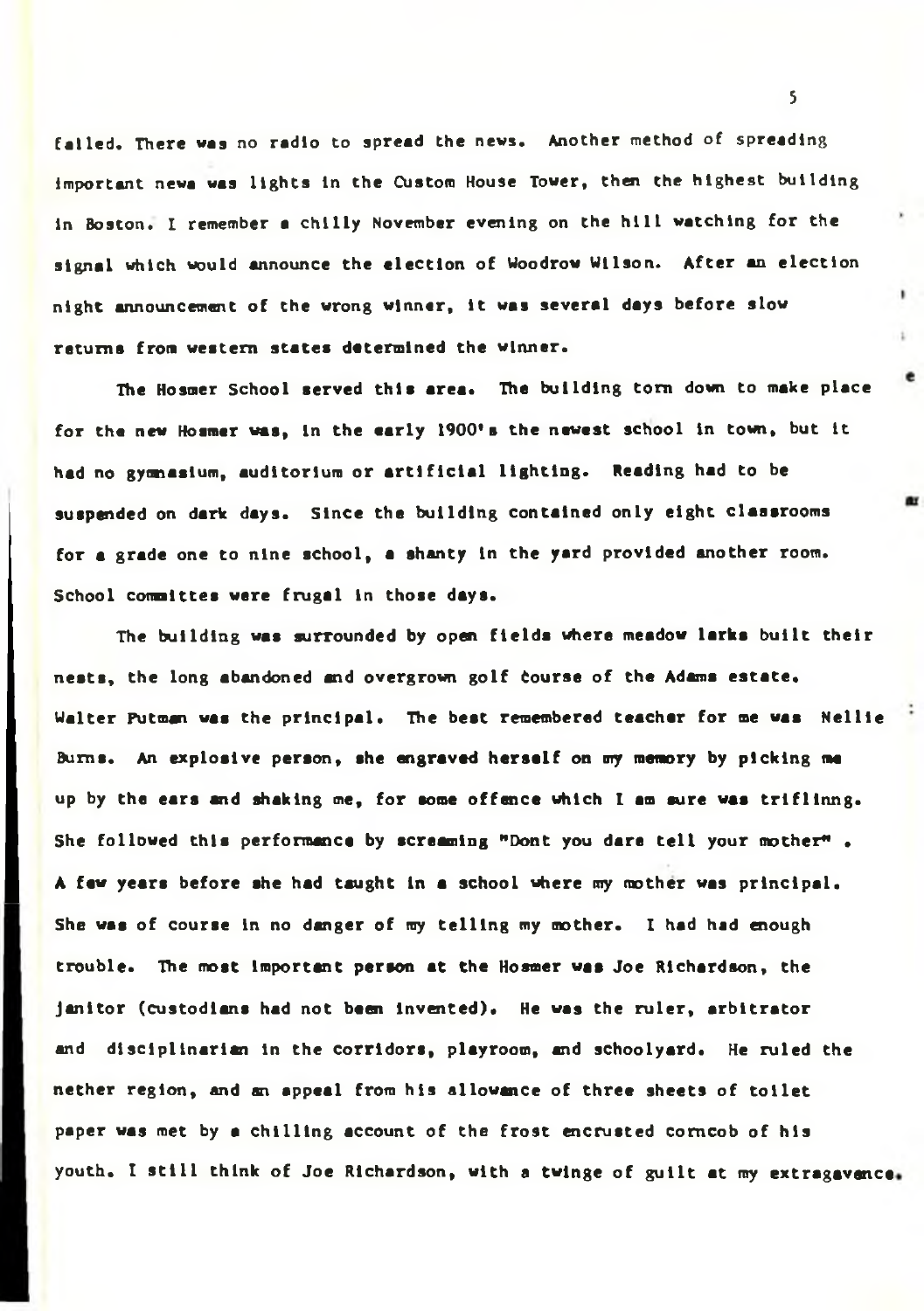failed. There was no radio to spread the news. Another method of spreading important newa was lights In the Custom House Tower, then the highest building In Boston. I remember a chilly November evening on the hill watching for the signal which would announce the election of Woodrow Wilson. After an election night announcement of the wrong winner. It was several days before slow returns from western states determined the winner.

The Hosmer School served this area. The building torn down to make place for the new Hosmer was, in the early 1900's the newest school in town, but it had no gyonaslum, auditorium or artificial lighting. Reading had to be suspended on dark days. Since the building contained only eight classrooms for a grade one to nine school, a shanty In the yard provided another room. School comalttes were frugal in those days.

The building was surrounded by open fields where meadow larks built their nests, the long abandoned and overgrown golf Course of the Adams estate. Walter Putman was the principal. The best remembered teacher for me was Nellie Burns. An explosive person, she engraved herself on my memory by picking me up by the ears and shaking me, for some offence which I am sure was trlfllnng. She followed this performance by screaming "Dont you dare tell your mother". A few years before she had taught In a school where my mother was principal. She was of course in no danger of my telling my mother. I had had enough trouble. The most Important person at the Hosmer was Joe Richardson, the janitor (custodians had not been Invented). He was the ruler, arbitrator and disciplinarian In the corridors, playroom, and schoolyard. He ruled the nether region, and an appeal from his allowance of three sheets of toilet paper was met by a chilling account of the frost encrusted corncob of his youth. I still think of Joe Richardson, with a twinge of guilt at my extragavanca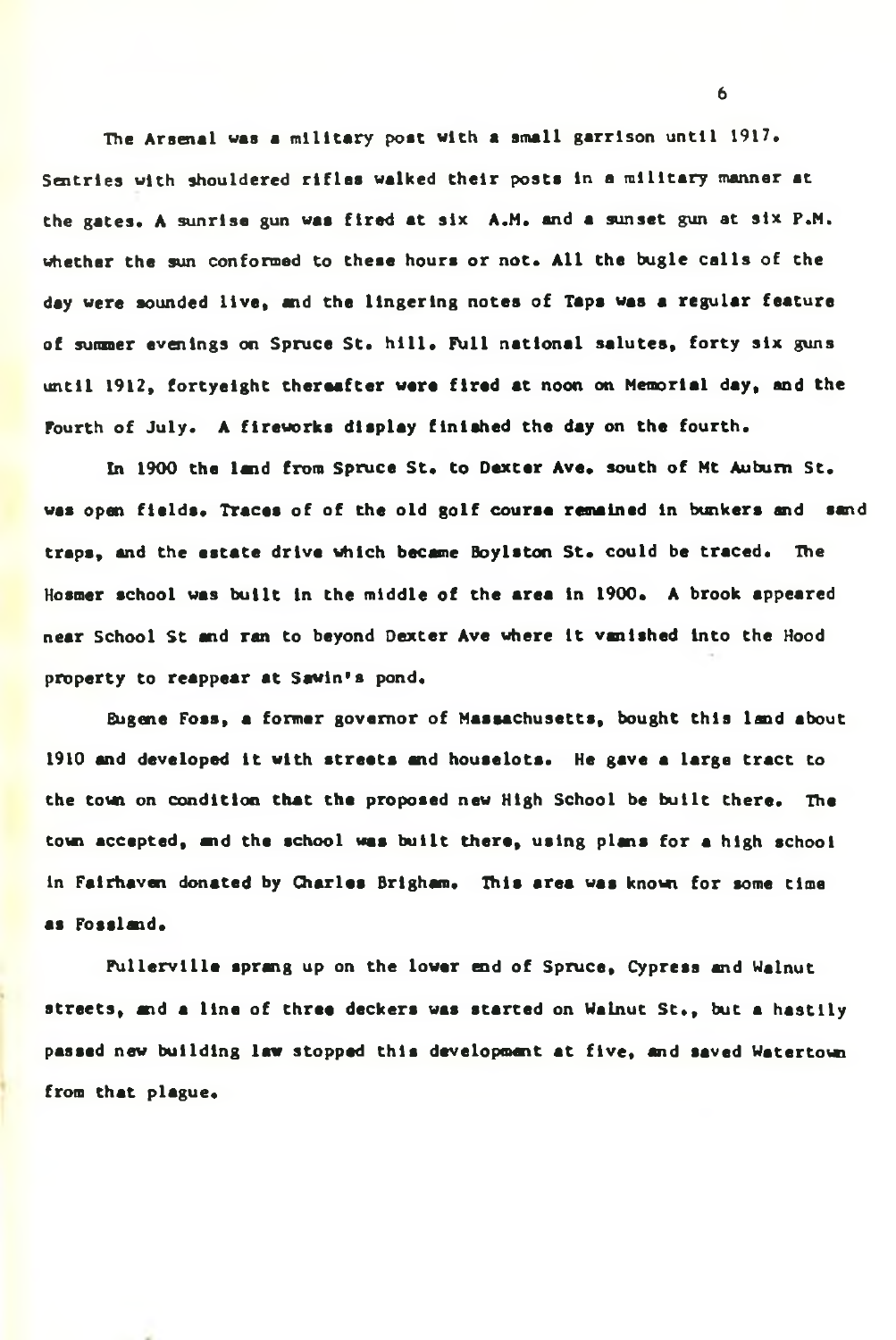The Arsenal was a military post with a small garrison until 1917. Sentries with shouldered rifles walked their posts in a military manner at the gates. A sunrise gun was fired at six A.M. and a sunset gun at six P.M. whether the sun conformed to these hours or not. All the bugle calls of the day were sounded live, and the lingering notes of Taps was a regular feature of sunnier evenings on Spruce St. hill. Full national salutes, forty six guns until 1912, fortyeight thereafter were fired at noon on Memorial day, and the Fourth of July. A fireworks display finished the day on the fourth.

In 1900 the land from Spruce St. to Dexter Ave. south of Mt Auburn St. was open fields. Traces of of the old golf course remained in bunkers and sand traps, and the estate drive which became Boylston St. could be traced. The Hosmer school was built in the middle of the area in 1900. A brook appeared near School St and ran to beyond Dexter Ave where it vanished Into the Hood property to reappear at Sewin's pond.

Eugene Foss, a former governor of Massachusetts, bought this land about 1910 and developed it with streets and houselots. He gave a large tract to the town on condition that the proposed new High School be built there. The town accepted, and the school was built there, using plans for a high school in Fairhaven donated by Charles Brigham. This area was known for some time as Fossland.

Fullervllle sprang up on the lower end of Spruce, Cypress and Walnut streets, and a line of three deckers was started on Walnut St., but a hastily passed new building law stopped this development at five, and saved Watertow from that plague.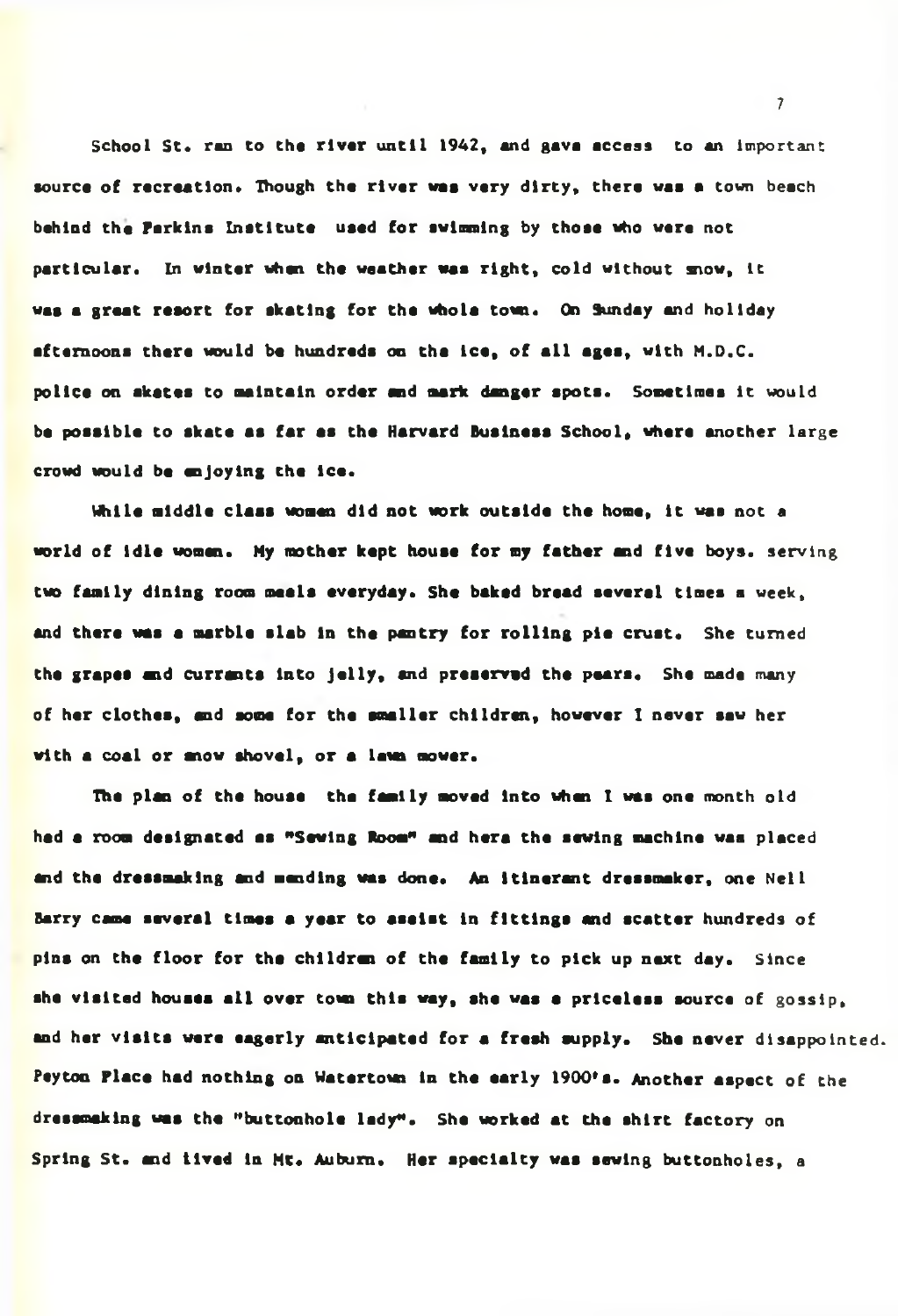**School St. ran to the river until 1942, and gava access to an** Important **source of recreation. Though the river was very dirty, thera was a town** beach behind the Parkins Institute used for swimming by those who were not particular. In winter when the weather was right, cold without snow, it was a great resort for skating for the whole town. On Sunday and holiday **afternoons there would be hundreds on tha lea, of all ages, with M.D.C. police on akatas to maintain order and mark danger spots. Sometimes** It **would be possible to skate as far as the Harvard Business School, where another large crowd would be anjoylng the Ice.**

**While middle class women did not work outside the home. It was not** a **world of Idle woman. Hy mother kept house for my father and five boys,** serving **two family dining room meals everyday. She baked bread several times** a week, **and there was a marble slab in the pantry for rolling pie crust. She turned the grapes and currants Into Jelly, and preserved the pears. She** made many **of her clothes, and some for the smaller children, however I never saw her** with a coal or mow shovel, or a lawn mower.

**The plan of the house tha family moved Into when I was one month old had a room designated as "Sewing Room\*\* and hara the sewing machine waa** placed **and tha dressmaking and mending was done. An itinerant dressmaker, one** Nell **Barry came several times a year to asalst in fittings and scatter hundreds** of **pins on the floor for the children of the family to pick up next day.** Since **she visited houses all over town this way, she was a priceless source** of gossip, **and her visits were eagerly anticipated for a fresh supply. She never** disappointed. **Peyton Place had nothing on Watartotei In the early 1900's. Another aspect** of the **dressamklng was the "buttonhole lady". She worked at the shirt factory** on **Spring St. and lived In Mt. Auburn. Her specialty was sewing buttonholes,** a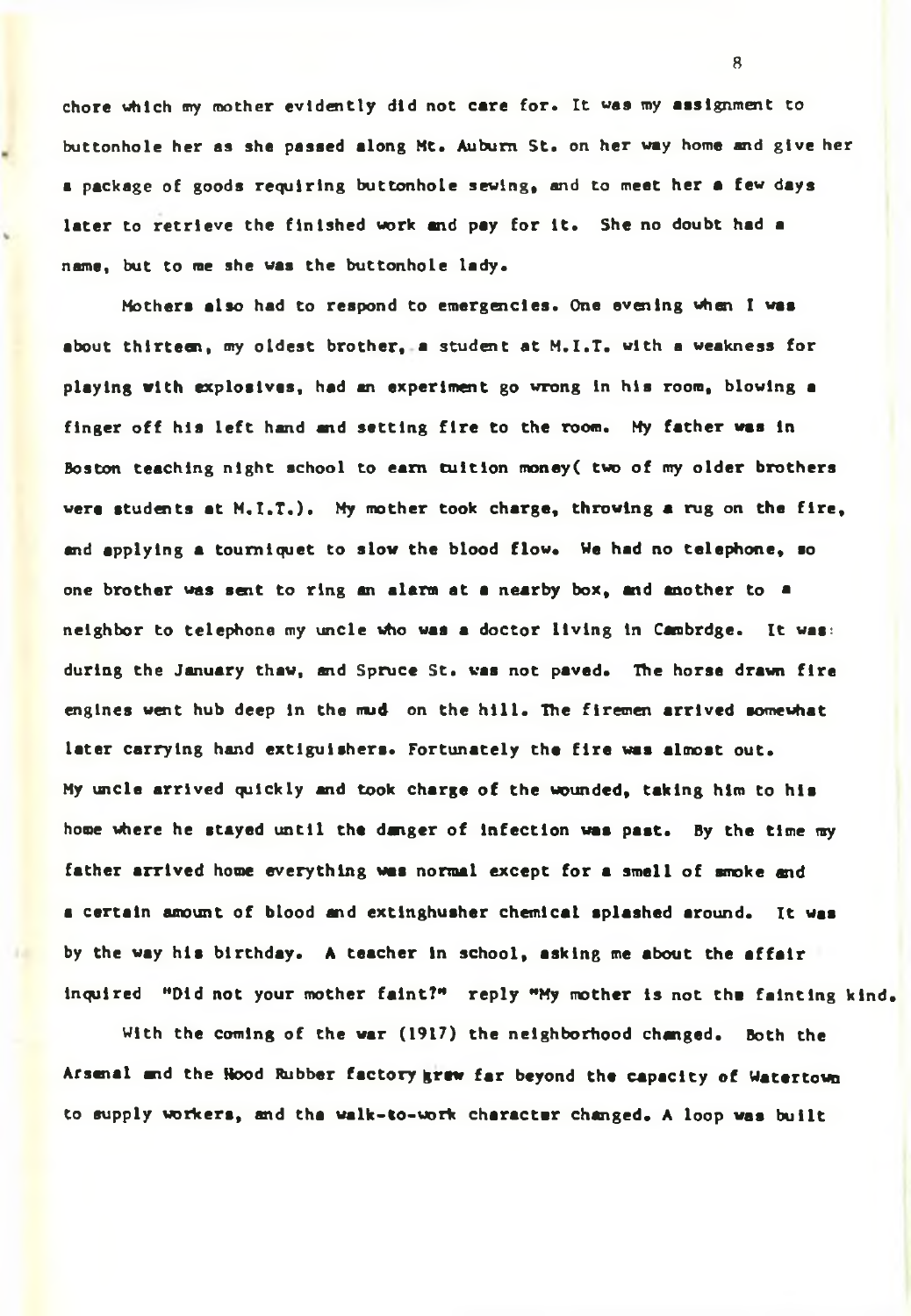chore which my mother evidently did not care for. It was my assignment to buttonhole her as she passed along Mt. Auburn St. on her way home and give her a package of goods requiring buttonhole sewing, and to meet her a few days later to retrieve the finished work and pay for it. She no doubt had a name, but to me she was the buttonhole lady.

Mothers also had to respond to emergencies. One evening when I was about thirteen, my oldest brother, a student at M.I.T. with a weakness for playing with explosives, had an experiment go wrong In his room, blowing a finger off his left hand and setting fire to the room. My father was In Boston teaching night school to earn tuition money( two of my older brothers were students at M.I.T.). My mother took charge, throwing a rug on the fire, and applying a tourniquet to slow the blood flow. We had no telephone, so one brother was sent to ring an alarm at a nearby box, and another to a neighbor to telephone my uncle who was a doctor living In Cambrdge. It was: during the January thaw, and Spruce St. was not paved. The horse drawn fire engines went hub deep In the nud on the hill. The firemen arrived somewhat later carrying hand extlgulshers. Fortunately the fire was almost out. My uncle arrived quickly and took charge of the wounded, taking him to his home where he stayed until the danger of infection was past. By the time my father arrived home everything was normal except for a smell of smoke and a certain amount of blood and extlnghusher chemical splashed around. It was by the way his birthday. A teacher in school, asking me about the affair Inquired "Did not your mother faint?" reply "My mother is not the fainting kind.

With the coming of the war (1917) the neighborhood changed. Both the Arsenal and the Hood Rubber factory grew far beyond the capacity of Watertown to supply workers, and tha walk-to-uork character changed. A loop was built